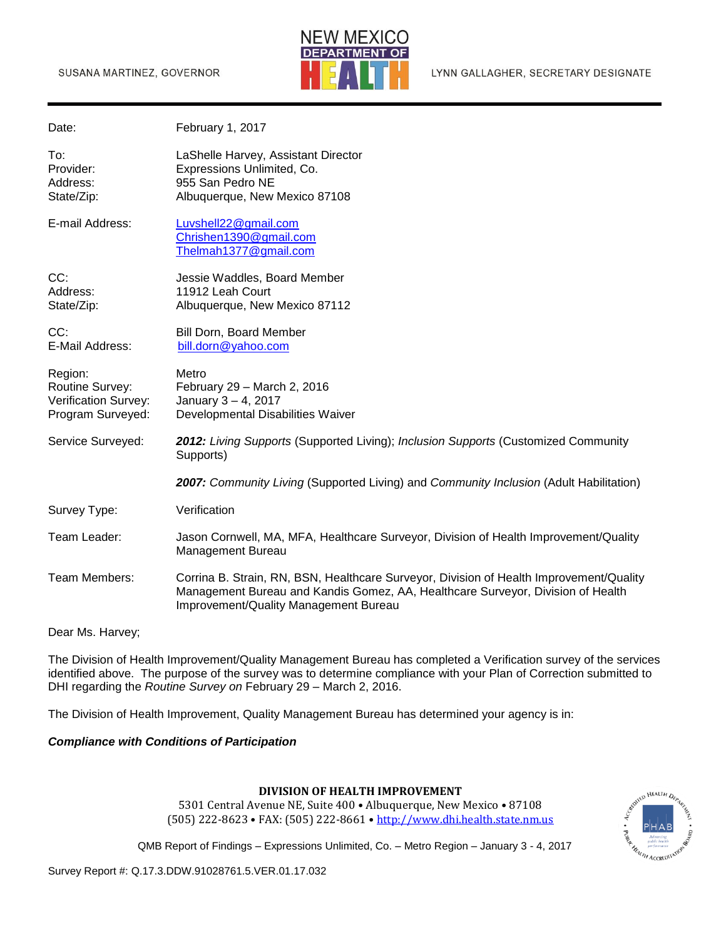

| Date:                                                                   | February 1, 2017                                                                                                                                                                                                    |
|-------------------------------------------------------------------------|---------------------------------------------------------------------------------------------------------------------------------------------------------------------------------------------------------------------|
| To:<br>Provider:<br>Address:<br>State/Zip:                              | LaShelle Harvey, Assistant Director<br>Expressions Unlimited, Co.<br>955 San Pedro NE<br>Albuquerque, New Mexico 87108                                                                                              |
| E-mail Address:                                                         | Luvshell22@gmail.com<br>Chrishen1390@gmail.com<br>Thelmah1377@gmail.com                                                                                                                                             |
| CC:<br>Address:<br>State/Zip:                                           | Jessie Waddles, Board Member<br>11912 Leah Court<br>Albuquerque, New Mexico 87112                                                                                                                                   |
| CC:<br>E-Mail Address:                                                  | Bill Dorn, Board Member<br>bill.dorn@yahoo.com                                                                                                                                                                      |
| Region:<br>Routine Survey:<br>Verification Survey:<br>Program Surveyed: | Metro<br>February 29 - March 2, 2016<br>January 3-4, 2017<br>Developmental Disabilities Waiver                                                                                                                      |
| Service Surveyed:                                                       | 2012: Living Supports (Supported Living); Inclusion Supports (Customized Community<br>Supports)                                                                                                                     |
|                                                                         | 2007: Community Living (Supported Living) and Community Inclusion (Adult Habilitation)                                                                                                                              |
| Survey Type:                                                            | Verification                                                                                                                                                                                                        |
| Team Leader:                                                            | Jason Cornwell, MA, MFA, Healthcare Surveyor, Division of Health Improvement/Quality<br>Management Bureau                                                                                                           |
| Team Members:                                                           | Corrina B. Strain, RN, BSN, Healthcare Surveyor, Division of Health Improvement/Quality<br>Management Bureau and Kandis Gomez, AA, Healthcare Surveyor, Division of Health<br>Improvement/Quality Management Bureau |

Dear Ms. Harvey;

The Division of Health Improvement/Quality Management Bureau has completed a Verification survey of the services identified above. The purpose of the survey was to determine compliance with your Plan of Correction submitted to DHI regarding the *Routine Survey on* February 29 – March 2, 2016.

The Division of Health Improvement, Quality Management Bureau has determined your agency is in:

#### *Compliance with Conditions of Participation*

#### **DIVISION OF HEALTH IMPROVEMENT**

5301 Central Avenue NE, Suite 400 • Albuquerque, New Mexico • 87108 (505) 222-8623 • FAX: (505) 222-8661 • [http://www.dhi.health.state.nm.us](http://www.dhi.health.state.nm.us/)



QMB Report of Findings – Expressions Unlimited, Co. – Metro Region – January 3 - 4, 2017

Survey Report #: Q.17.3.DDW.91028761.5.VER.01.17.032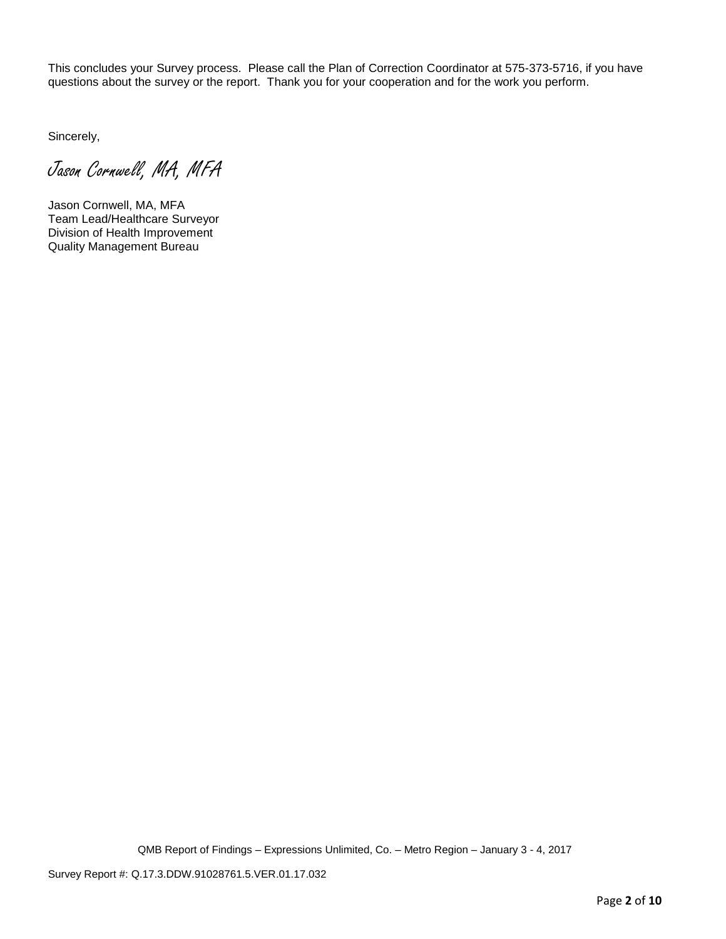This concludes your Survey process. Please call the Plan of Correction Coordinator at 575-373-5716, if you have questions about the survey or the report. Thank you for your cooperation and for the work you perform.

Sincerely,

Jason Cornwell, MA, MFA

Jason Cornwell, MA, MFA Team Lead/Healthcare Surveyor Division of Health Improvement Quality Management Bureau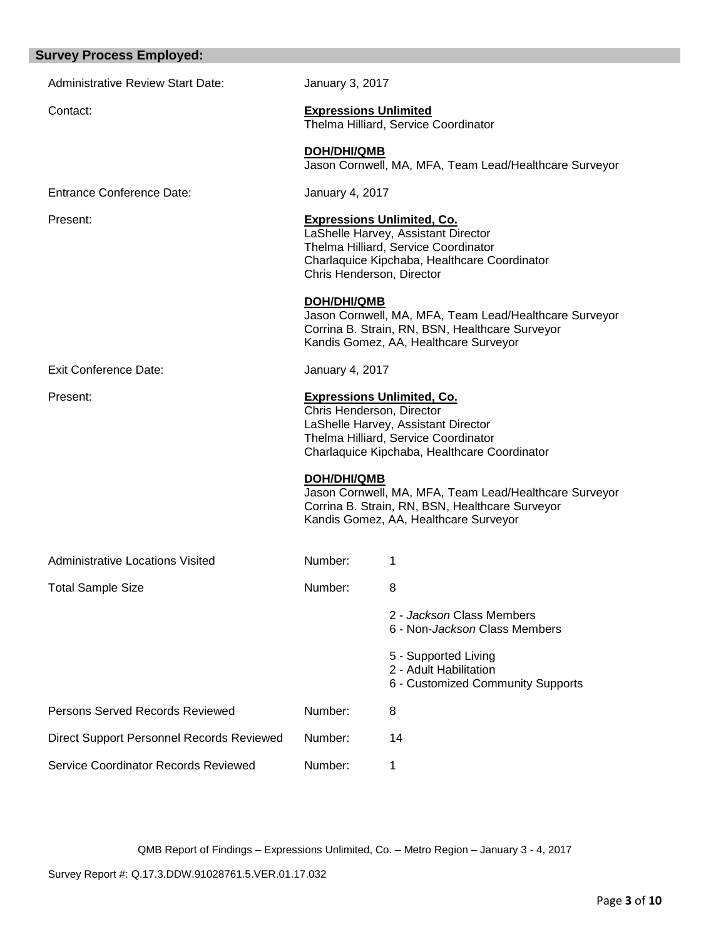| <b>Survey Process Employed:</b>                  |                                                                                                                                                                                               |                                                                                                                                                    |  |  |  |
|--------------------------------------------------|-----------------------------------------------------------------------------------------------------------------------------------------------------------------------------------------------|----------------------------------------------------------------------------------------------------------------------------------------------------|--|--|--|
| <b>Administrative Review Start Date:</b>         | January 3, 2017                                                                                                                                                                               |                                                                                                                                                    |  |  |  |
| Contact:                                         | <b>Expressions Unlimited</b><br>Thelma Hilliard, Service Coordinator                                                                                                                          |                                                                                                                                                    |  |  |  |
|                                                  | DOH/DHI/QMB                                                                                                                                                                                   | Jason Cornwell, MA, MFA, Team Lead/Healthcare Surveyor                                                                                             |  |  |  |
| <b>Entrance Conference Date:</b>                 | January 4, 2017                                                                                                                                                                               |                                                                                                                                                    |  |  |  |
| Present:                                         | <b>Expressions Unlimited, Co.</b><br>LaShelle Harvey, Assistant Director<br>Thelma Hilliard, Service Coordinator<br>Charlaquice Kipchaba, Healthcare Coordinator<br>Chris Henderson, Director |                                                                                                                                                    |  |  |  |
|                                                  | <b>DOH/DHI/QMB</b>                                                                                                                                                                            | Jason Cornwell, MA, MFA, Team Lead/Healthcare Surveyor<br>Corrina B. Strain, RN, BSN, Healthcare Surveyor<br>Kandis Gomez, AA, Healthcare Surveyor |  |  |  |
| Exit Conference Date:                            | <b>January 4, 2017</b>                                                                                                                                                                        |                                                                                                                                                    |  |  |  |
| Present:                                         | <b>Expressions Unlimited, Co.</b><br>Chris Henderson, Director<br>LaShelle Harvey, Assistant Director<br>Thelma Hilliard, Service Coordinator<br>Charlaquice Kipchaba, Healthcare Coordinator |                                                                                                                                                    |  |  |  |
|                                                  | DOH/DHI/QMB                                                                                                                                                                                   | Jason Cornwell, MA, MFA, Team Lead/Healthcare Surveyor<br>Corrina B. Strain, RN, BSN, Healthcare Surveyor<br>Kandis Gomez, AA, Healthcare Surveyor |  |  |  |
| <b>Administrative Locations Visited</b>          | Number:                                                                                                                                                                                       | 1                                                                                                                                                  |  |  |  |
| <b>Total Sample Size</b>                         | Number:                                                                                                                                                                                       | 8                                                                                                                                                  |  |  |  |
|                                                  |                                                                                                                                                                                               | 2 - Jackson Class Members<br>6 - Non-Jackson Class Members                                                                                         |  |  |  |
|                                                  |                                                                                                                                                                                               | 5 - Supported Living<br>2 - Adult Habilitation<br>6 - Customized Community Supports                                                                |  |  |  |
| Persons Served Records Reviewed                  | Number:                                                                                                                                                                                       | 8                                                                                                                                                  |  |  |  |
| <b>Direct Support Personnel Records Reviewed</b> | Number:                                                                                                                                                                                       | 14                                                                                                                                                 |  |  |  |
| Service Coordinator Records Reviewed             | Number:                                                                                                                                                                                       | 1                                                                                                                                                  |  |  |  |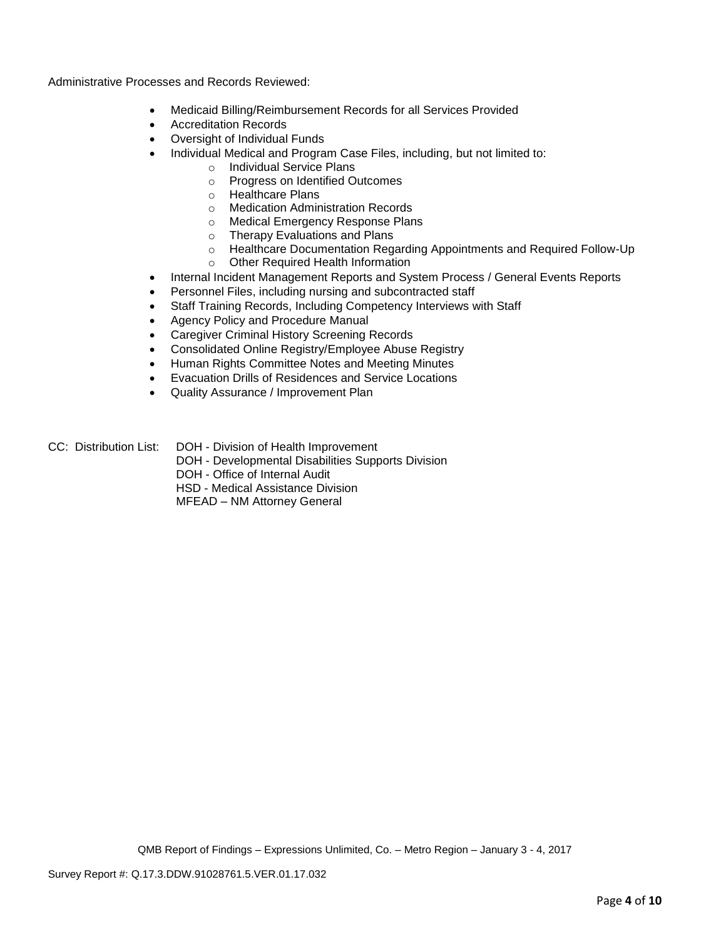Administrative Processes and Records Reviewed:

- Medicaid Billing/Reimbursement Records for all Services Provided
- Accreditation Records
- Oversight of Individual Funds
- Individual Medical and Program Case Files, including, but not limited to:
	- o Individual Service Plans
	- o Progress on Identified Outcomes
	- o Healthcare Plans
	- o Medication Administration Records
	- o Medical Emergency Response Plans
	- o Therapy Evaluations and Plans
	- o Healthcare Documentation Regarding Appointments and Required Follow-Up
	- o Other Required Health Information
- Internal Incident Management Reports and System Process / General Events Reports
- Personnel Files, including nursing and subcontracted staff
- Staff Training Records, Including Competency Interviews with Staff
- Agency Policy and Procedure Manual
- Caregiver Criminal History Screening Records
- Consolidated Online Registry/Employee Abuse Registry
- Human Rights Committee Notes and Meeting Minutes
- Evacuation Drills of Residences and Service Locations
- Quality Assurance / Improvement Plan
- CC: Distribution List: DOH Division of Health Improvement
	- DOH Developmental Disabilities Supports Division
	- DOH Office of Internal Audit
	- HSD Medical Assistance Division
	- MFEAD NM Attorney General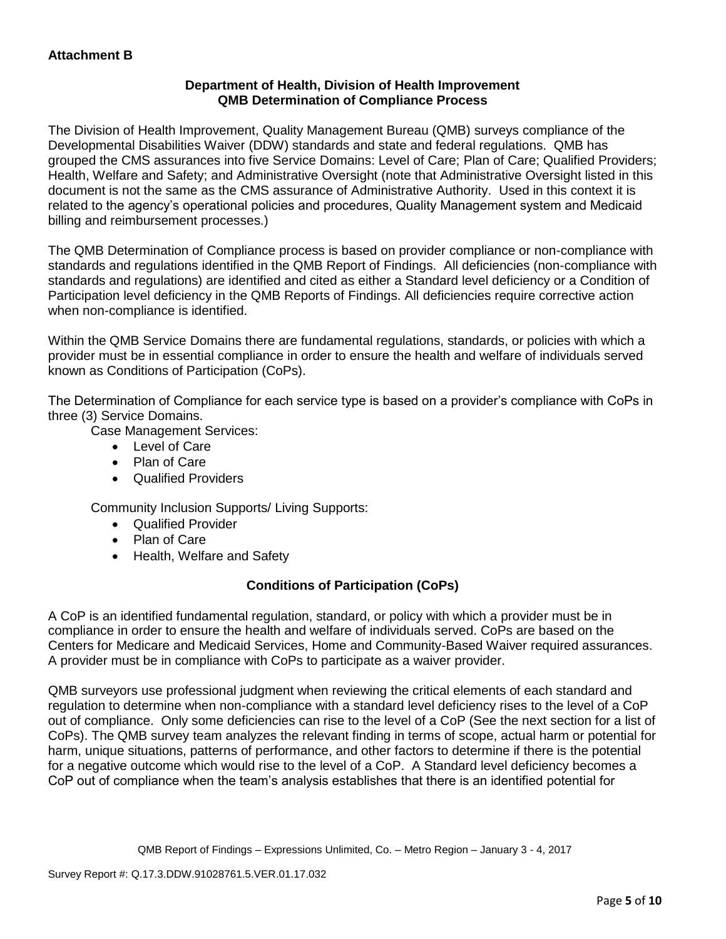## **Department of Health, Division of Health Improvement QMB Determination of Compliance Process**

The Division of Health Improvement, Quality Management Bureau (QMB) surveys compliance of the Developmental Disabilities Waiver (DDW) standards and state and federal regulations. QMB has grouped the CMS assurances into five Service Domains: Level of Care; Plan of Care; Qualified Providers; Health, Welfare and Safety; and Administrative Oversight (note that Administrative Oversight listed in this document is not the same as the CMS assurance of Administrative Authority. Used in this context it is related to the agency's operational policies and procedures, Quality Management system and Medicaid billing and reimbursement processes.)

The QMB Determination of Compliance process is based on provider compliance or non-compliance with standards and regulations identified in the QMB Report of Findings. All deficiencies (non-compliance with standards and regulations) are identified and cited as either a Standard level deficiency or a Condition of Participation level deficiency in the QMB Reports of Findings. All deficiencies require corrective action when non-compliance is identified.

Within the QMB Service Domains there are fundamental regulations, standards, or policies with which a provider must be in essential compliance in order to ensure the health and welfare of individuals served known as Conditions of Participation (CoPs).

The Determination of Compliance for each service type is based on a provider's compliance with CoPs in three (3) Service Domains.

Case Management Services:

- Level of Care
- Plan of Care
- Qualified Providers

Community Inclusion Supports/ Living Supports:

- Qualified Provider
- Plan of Care
- Health, Welfare and Safety

# **Conditions of Participation (CoPs)**

A CoP is an identified fundamental regulation, standard, or policy with which a provider must be in compliance in order to ensure the health and welfare of individuals served. CoPs are based on the Centers for Medicare and Medicaid Services, Home and Community-Based Waiver required assurances. A provider must be in compliance with CoPs to participate as a waiver provider.

QMB surveyors use professional judgment when reviewing the critical elements of each standard and regulation to determine when non-compliance with a standard level deficiency rises to the level of a CoP out of compliance. Only some deficiencies can rise to the level of a CoP (See the next section for a list of CoPs). The QMB survey team analyzes the relevant finding in terms of scope, actual harm or potential for harm, unique situations, patterns of performance, and other factors to determine if there is the potential for a negative outcome which would rise to the level of a CoP. A Standard level deficiency becomes a CoP out of compliance when the team's analysis establishes that there is an identified potential for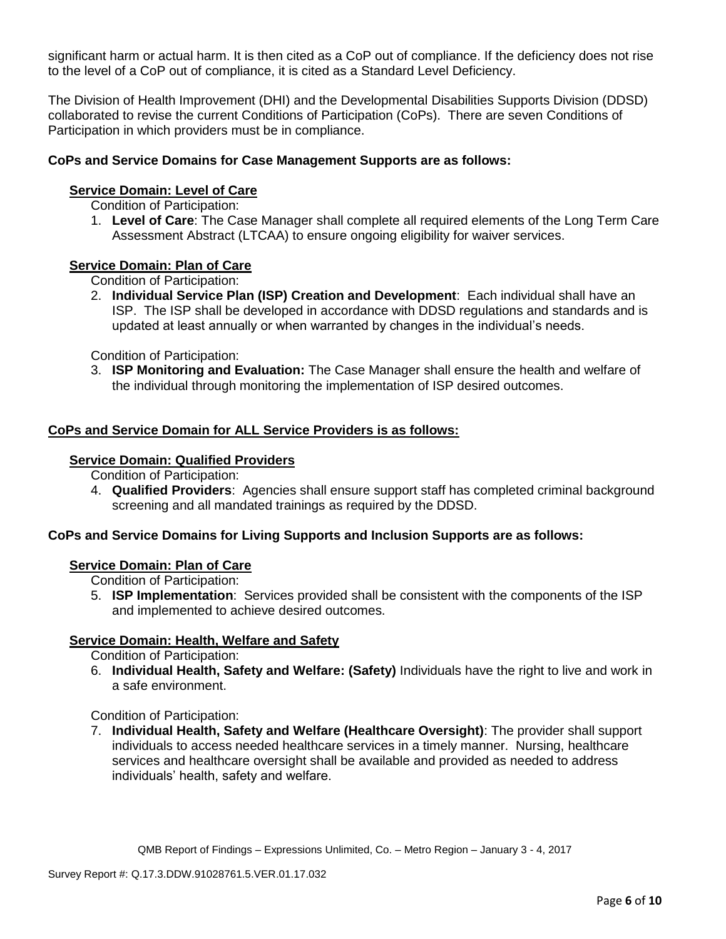significant harm or actual harm. It is then cited as a CoP out of compliance. If the deficiency does not rise to the level of a CoP out of compliance, it is cited as a Standard Level Deficiency.

The Division of Health Improvement (DHI) and the Developmental Disabilities Supports Division (DDSD) collaborated to revise the current Conditions of Participation (CoPs). There are seven Conditions of Participation in which providers must be in compliance.

## **CoPs and Service Domains for Case Management Supports are as follows:**

### **Service Domain: Level of Care**

Condition of Participation:

1. **Level of Care**: The Case Manager shall complete all required elements of the Long Term Care Assessment Abstract (LTCAA) to ensure ongoing eligibility for waiver services.

### **Service Domain: Plan of Care**

Condition of Participation:

2. **Individual Service Plan (ISP) Creation and Development**: Each individual shall have an ISP. The ISP shall be developed in accordance with DDSD regulations and standards and is updated at least annually or when warranted by changes in the individual's needs.

Condition of Participation:

3. **ISP Monitoring and Evaluation:** The Case Manager shall ensure the health and welfare of the individual through monitoring the implementation of ISP desired outcomes.

### **CoPs and Service Domain for ALL Service Providers is as follows:**

#### **Service Domain: Qualified Providers**

Condition of Participation:

4. **Qualified Providers**: Agencies shall ensure support staff has completed criminal background screening and all mandated trainings as required by the DDSD.

## **CoPs and Service Domains for Living Supports and Inclusion Supports are as follows:**

### **Service Domain: Plan of Care**

Condition of Participation:

5. **ISP Implementation**: Services provided shall be consistent with the components of the ISP and implemented to achieve desired outcomes.

### **Service Domain: Health, Welfare and Safety**

Condition of Participation:

6. **Individual Health, Safety and Welfare: (Safety)** Individuals have the right to live and work in a safe environment.

### Condition of Participation:

7. **Individual Health, Safety and Welfare (Healthcare Oversight)**: The provider shall support individuals to access needed healthcare services in a timely manner. Nursing, healthcare services and healthcare oversight shall be available and provided as needed to address individuals' health, safety and welfare.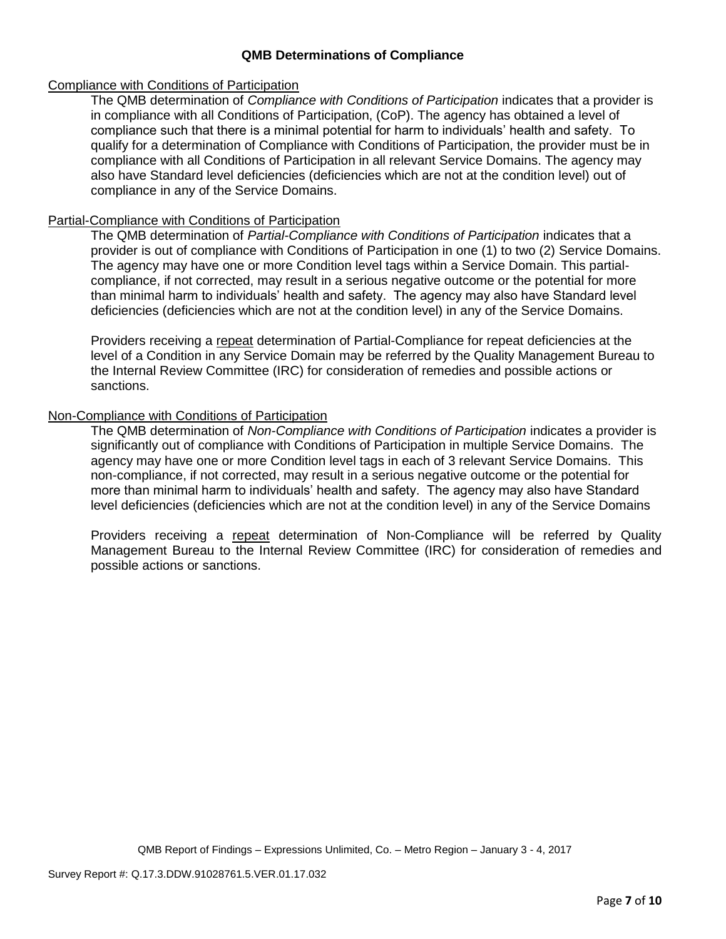## **QMB Determinations of Compliance**

### Compliance with Conditions of Participation

The QMB determination of *Compliance with Conditions of Participation* indicates that a provider is in compliance with all Conditions of Participation, (CoP). The agency has obtained a level of compliance such that there is a minimal potential for harm to individuals' health and safety. To qualify for a determination of Compliance with Conditions of Participation, the provider must be in compliance with all Conditions of Participation in all relevant Service Domains. The agency may also have Standard level deficiencies (deficiencies which are not at the condition level) out of compliance in any of the Service Domains.

### Partial-Compliance with Conditions of Participation

The QMB determination of *Partial-Compliance with Conditions of Participation* indicates that a provider is out of compliance with Conditions of Participation in one (1) to two (2) Service Domains. The agency may have one or more Condition level tags within a Service Domain. This partialcompliance, if not corrected, may result in a serious negative outcome or the potential for more than minimal harm to individuals' health and safety. The agency may also have Standard level deficiencies (deficiencies which are not at the condition level) in any of the Service Domains.

Providers receiving a repeat determination of Partial-Compliance for repeat deficiencies at the level of a Condition in any Service Domain may be referred by the Quality Management Bureau to the Internal Review Committee (IRC) for consideration of remedies and possible actions or sanctions.

## Non-Compliance with Conditions of Participation

The QMB determination of *Non-Compliance with Conditions of Participation* indicates a provider is significantly out of compliance with Conditions of Participation in multiple Service Domains. The agency may have one or more Condition level tags in each of 3 relevant Service Domains. This non-compliance, if not corrected, may result in a serious negative outcome or the potential for more than minimal harm to individuals' health and safety. The agency may also have Standard level deficiencies (deficiencies which are not at the condition level) in any of the Service Domains

Providers receiving a repeat determination of Non-Compliance will be referred by Quality Management Bureau to the Internal Review Committee (IRC) for consideration of remedies and possible actions or sanctions.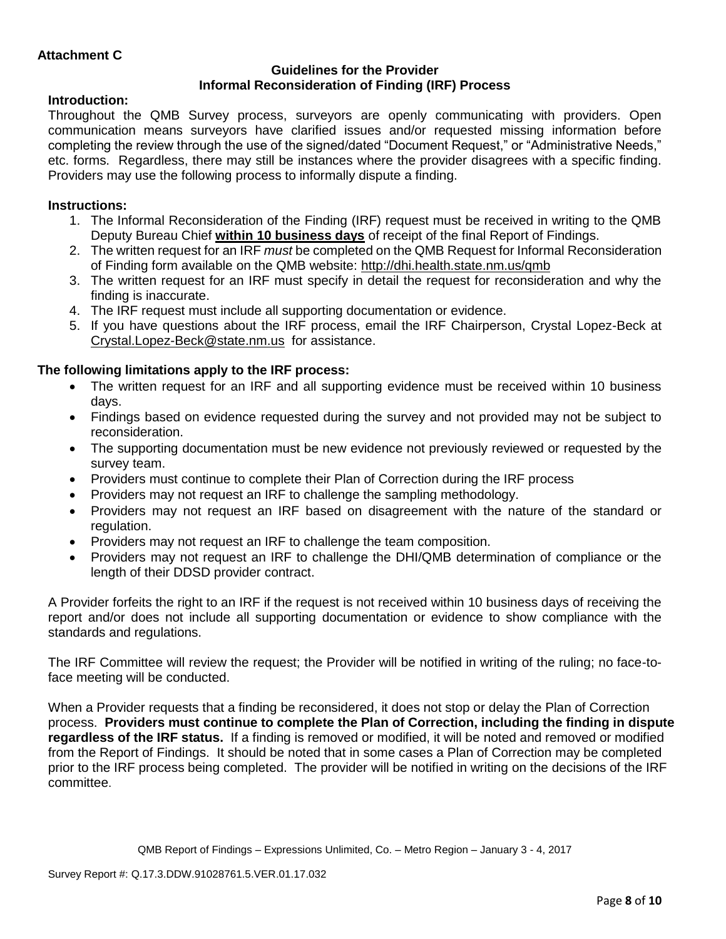## **Guidelines for the Provider Informal Reconsideration of Finding (IRF) Process**

## **Introduction:**

Throughout the QMB Survey process, surveyors are openly communicating with providers. Open communication means surveyors have clarified issues and/or requested missing information before completing the review through the use of the signed/dated "Document Request," or "Administrative Needs," etc. forms. Regardless, there may still be instances where the provider disagrees with a specific finding. Providers may use the following process to informally dispute a finding.

# **Instructions:**

- 1. The Informal Reconsideration of the Finding (IRF) request must be received in writing to the QMB Deputy Bureau Chief **within 10 business days** of receipt of the final Report of Findings.
- 2. The written request for an IRF *must* be completed on the QMB Request for Informal Reconsideration of Finding form available on the QMB website:<http://dhi.health.state.nm.us/qmb>
- 3. The written request for an IRF must specify in detail the request for reconsideration and why the finding is inaccurate.
- 4. The IRF request must include all supporting documentation or evidence.
- 5. If you have questions about the IRF process, email the IRF Chairperson, Crystal Lopez-Beck at [Crystal.Lopez-Beck@state.nm.us](mailto:Crystal.Lopez-Beck@state.nm.us) for assistance.

# **The following limitations apply to the IRF process:**

- The written request for an IRF and all supporting evidence must be received within 10 business days.
- Findings based on evidence requested during the survey and not provided may not be subject to reconsideration.
- The supporting documentation must be new evidence not previously reviewed or requested by the survey team.
- Providers must continue to complete their Plan of Correction during the IRF process
- Providers may not request an IRF to challenge the sampling methodology.
- Providers may not request an IRF based on disagreement with the nature of the standard or regulation.
- Providers may not request an IRF to challenge the team composition.
- Providers may not request an IRF to challenge the DHI/QMB determination of compliance or the length of their DDSD provider contract.

A Provider forfeits the right to an IRF if the request is not received within 10 business days of receiving the report and/or does not include all supporting documentation or evidence to show compliance with the standards and regulations.

The IRF Committee will review the request; the Provider will be notified in writing of the ruling; no face-toface meeting will be conducted.

When a Provider requests that a finding be reconsidered, it does not stop or delay the Plan of Correction process. **Providers must continue to complete the Plan of Correction, including the finding in dispute regardless of the IRF status.** If a finding is removed or modified, it will be noted and removed or modified from the Report of Findings. It should be noted that in some cases a Plan of Correction may be completed prior to the IRF process being completed. The provider will be notified in writing on the decisions of the IRF committee.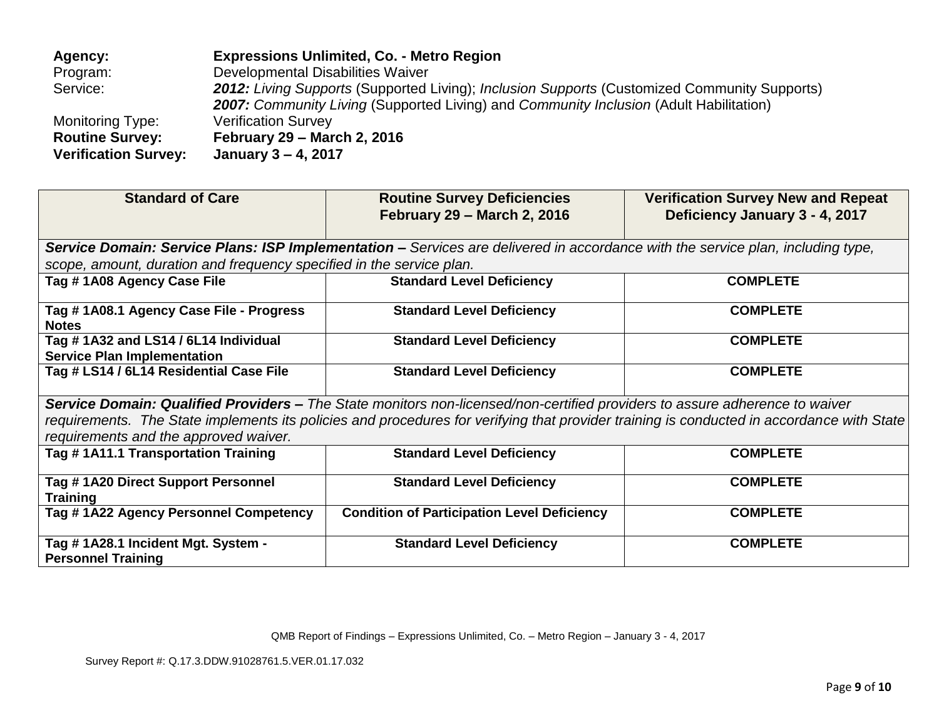| Agency:                     | <b>Expressions Unlimited, Co. - Metro Region</b>                                                    |
|-----------------------------|-----------------------------------------------------------------------------------------------------|
| Program:                    | Developmental Disabilities Waiver                                                                   |
| Service:                    | <b>2012:</b> Living Supports (Supported Living); Inclusion Supports (Customized Community Supports) |
|                             | <b>2007:</b> Community Living (Supported Living) and Community Inclusion (Adult Habilitation)       |
| Monitoring Type:            | <b>Verification Survey</b>                                                                          |
| <b>Routine Survey:</b>      | <b>February 29 - March 2, 2016</b>                                                                  |
| <b>Verification Survey:</b> | January 3 - 4, 2017                                                                                 |

| <b>Standard of Care</b>                                                                                                         | <b>Routine Survey Deficiencies</b>                                                                                                        | <b>Verification Survey New and Repeat</b> |  |  |  |  |
|---------------------------------------------------------------------------------------------------------------------------------|-------------------------------------------------------------------------------------------------------------------------------------------|-------------------------------------------|--|--|--|--|
|                                                                                                                                 | <b>February 29 - March 2, 2016</b>                                                                                                        | Deficiency January 3 - 4, 2017            |  |  |  |  |
| Service Domain: Service Plans: ISP Implementation - Services are delivered in accordance with the service plan, including type, |                                                                                                                                           |                                           |  |  |  |  |
| scope, amount, duration and frequency specified in the service plan.                                                            |                                                                                                                                           |                                           |  |  |  |  |
| Tag # 1A08 Agency Case File                                                                                                     | <b>Standard Level Deficiency</b>                                                                                                          | <b>COMPLETE</b>                           |  |  |  |  |
| Tag # 1A08.1 Agency Case File - Progress                                                                                        | <b>Standard Level Deficiency</b>                                                                                                          | <b>COMPLETE</b>                           |  |  |  |  |
| <b>Notes</b>                                                                                                                    |                                                                                                                                           |                                           |  |  |  |  |
| Tag #1A32 and LS14 / 6L14 Individual                                                                                            | <b>Standard Level Deficiency</b>                                                                                                          | <b>COMPLETE</b>                           |  |  |  |  |
| <b>Service Plan Implementation</b>                                                                                              |                                                                                                                                           |                                           |  |  |  |  |
| Tag # LS14 / 6L14 Residential Case File                                                                                         | <b>Standard Level Deficiency</b>                                                                                                          | <b>COMPLETE</b>                           |  |  |  |  |
| Service Domain: Qualified Providers – The State monitors non-licensed/non-certified providers to assure adherence to waiver     |                                                                                                                                           |                                           |  |  |  |  |
|                                                                                                                                 | requirements. The State implements its policies and procedures for verifying that provider training is conducted in accordance with State |                                           |  |  |  |  |
| requirements and the approved waiver.                                                                                           |                                                                                                                                           |                                           |  |  |  |  |
| Tag # 1A11.1 Transportation Training                                                                                            | <b>Standard Level Deficiency</b>                                                                                                          | <b>COMPLETE</b>                           |  |  |  |  |
| Tag #1A20 Direct Support Personnel                                                                                              | <b>Standard Level Deficiency</b>                                                                                                          | <b>COMPLETE</b>                           |  |  |  |  |
| <b>Training</b>                                                                                                                 |                                                                                                                                           |                                           |  |  |  |  |
| Tag #1A22 Agency Personnel Competency                                                                                           | <b>Condition of Participation Level Deficiency</b>                                                                                        | <b>COMPLETE</b>                           |  |  |  |  |
|                                                                                                                                 |                                                                                                                                           |                                           |  |  |  |  |
| Tag #1A28.1 Incident Mgt. System -<br><b>Personnel Training</b>                                                                 | <b>Standard Level Deficiency</b>                                                                                                          | <b>COMPLETE</b>                           |  |  |  |  |